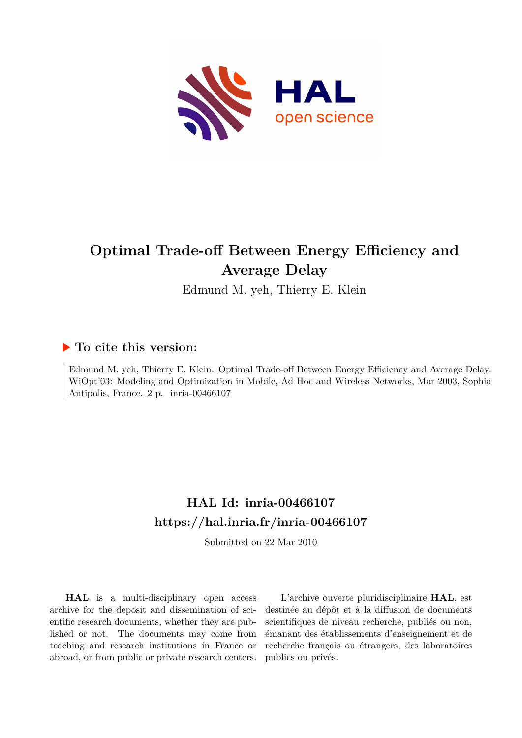

# **Optimal Trade-off Between Energy Efficiency and Average Delay**

Edmund M. yeh, Thierry E. Klein

## **To cite this version:**

Edmund M. yeh, Thierry E. Klein. Optimal Trade-off Between Energy Efficiency and Average Delay. WiOpt'03: Modeling and Optimization in Mobile, Ad Hoc and Wireless Networks, Mar 2003, Sophia Antipolis, France. 2 p. inria-00466107

## **HAL Id: inria-00466107 <https://hal.inria.fr/inria-00466107>**

Submitted on 22 Mar 2010

**HAL** is a multi-disciplinary open access archive for the deposit and dissemination of scientific research documents, whether they are published or not. The documents may come from teaching and research institutions in France or abroad, or from public or private research centers.

L'archive ouverte pluridisciplinaire **HAL**, est destinée au dépôt et à la diffusion de documents scientifiques de niveau recherche, publiés ou non, émanant des établissements d'enseignement et de recherche français ou étrangers, des laboratoires publics ou privés.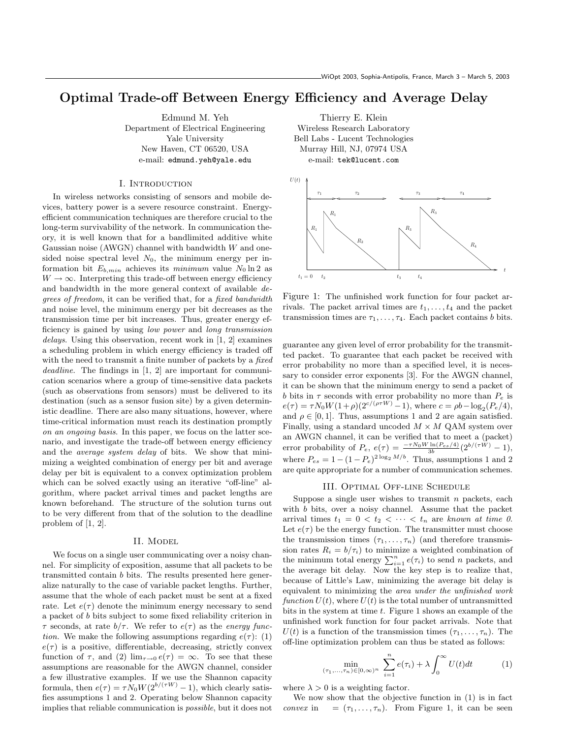### Optimal Trade-off Between Energy Efficiency and Average Delay

Edmund M. Yeh Department of Electrical Engineering Yale University New Haven, CT 06520, USA e-mail: edmund.yeh@yale.edu

#### I. Introduction

In wireless networks consisting of sensors and mobile devices, battery power is a severe resource constraint. Energyefficient communication techniques are therefore crucial to the long-term survivability of the network. In communication theory, it is well known that for a bandlimited additive white Gaussian noise (AWGN) channel with bandwidth  $W$  and onesided noise spectral level  $N_0$ , the minimum energy per information bit  $E_{b,min}$  achieves its minimum value  $N_0 \ln 2$  as  $W \to \infty$ . Interpreting this trade-off between energy efficiency and bandwidth in the more general context of available degrees of freedom, it can be verified that, for a fixed bandwidth and noise level, the minimum energy per bit decreases as the transmission time per bit increases. Thus, greater energy efficiency is gained by using low power and long transmission delays. Using this observation, recent work in [1, 2] examines a scheduling problem in which energy efficiency is traded off with the need to transmit a finite number of packets by a *fixed* deadline. The findings in [1, 2] are important for communication scenarios where a group of time-sensitive data packets (such as observations from sensors) must be delivered to its destination (such as a sensor fusion site) by a given deterministic deadline. There are also many situations, however, where time-critical information must reach its destination promptly on an ongoing basis. In this paper, we focus on the latter scenario, and investigate the trade-off between energy efficiency and the *average system delay* of bits. We show that minimizing a weighted combination of energy per bit and average delay per bit is equivalent to a convex optimization problem which can be solved exactly using an iterative "off-line" algorithm, where packet arrival times and packet lengths are known beforehand. The structure of the solution turns out to be very different from that of the solution to the deadline problem of [1, 2].

#### II. Model

We focus on a single user communicating over a noisy channel. For simplicity of exposition, assume that all packets to be transmitted contain b bits. The results presented here generalize naturally to the case of variable packet lengths. Further, assume that the whole of each packet must be sent at a fixed rate. Let  $e(\tau)$  denote the minimum energy necessary to send a packet of b bits subject to some fixed reliability criterion in  $\tau$  seconds, at rate  $b/\tau$ . We refer to  $e(\tau)$  as the *energy func*tion. We make the following assumptions regarding  $e(\tau)$ : (1)  $e(\tau)$  is a positive, differentiable, decreasing, strictly convex function of  $\tau$ , and (2)  $\lim_{\tau \to 0} e(\tau) = \infty$ . To see that these assumptions are reasonable for the AWGN channel, consider a few illustrative examples. If we use the Shannon capacity formula, then  $e(\tau) = \tau N_0 W(2^{b/(\tau W)} - 1)$ , which clearly satisfies assumptions 1 and 2. Operating below Shannon capacity implies that reliable communication is possible, but it does not

Thierry E. Klein Wireless Research Laboratory Bell Labs - Lucent Technologies Murray Hill, NJ, 07974 USA e-mail: tek@lucent.com



Figure 1: The unfinished work function for four packet arrivals. The packet arrival times are  $t_1, \ldots, t_4$  and the packet transmission times are  $\tau_1, \ldots, \tau_4$ . Each packet contains b bits.

guarantee any given level of error probability for the transmitted packet. To guarantee that each packet be received with error probability no more than a specified level, it is necessary to consider error exponents [3]. For the AWGN channel, it can be shown that the minimum energy to send a packet of b bits in  $\tau$  seconds with error probability no more than  $P_e$  is  $e(\tau) = \tau N_0 W (1 + \rho) (2^{c/(\rho \tau W)} - 1)$ , where  $c = \rho b - \log_2(P_e/4)$ , and  $\rho \in [0, 1]$ . Thus, assumptions 1 and 2 are again satisfied. Finally, using a standard uncoded  $M \times M$  QAM system over an AWGN channel, it can be verified that to meet a (packet) error probability of  $P_e$ ,  $e(\tau) = \frac{-\tau N_0 W \ln(P_{es}/4)}{3b} (2^{b/(\tau W)} - 1)$ , where  $P_{es} = 1 - (1 - P_e)^{2 \log_2 M/b}$ . Thus, assumptions 1 and 2 are quite appropriate for a number of communication schemes.

#### III. Optimal Off-line Schedule

Suppose a single user wishes to transmit  $n$  packets, each with b bits, over a noisy channel. Assume that the packet arrival times  $t_1 = 0 \lt t_2 \lt \cdots \lt t_n$  are known at time 0. Let  $e(\tau)$  be the energy function. The transmitter must choose the transmission times  $(\tau_1, \ldots, \tau_n)$  (and therefore transmission rates  $R_i = b/\tau_i$  to minimize a weighted combination of sion rates  $n_i = o/\tau_i$  to minimize a weighted combination of the minimum total energy  $\sum_{i=1}^{n} e(\tau_i)$  to send *n* packets, and the average bit delay. Now the key step is to realize that, because of Little's Law, minimizing the average bit delay is equivalent to minimizing the area under the unfinished work function  $U(t)$ , where  $U(t)$  is the total number of untransmitted bits in the system at time  $t$ . Figure 1 shows an example of the unfinished work function for four packet arrivals. Note that  $U(t)$  is a function of the transmission times  $(\tau_1, \ldots, \tau_n)$ . The off-line optimization problem can thus be stated as follows:

$$
\min_{(\tau_1,\ldots,\tau_n)\in[0,\infty)^n}\ \sum_{i=1}^n e(\tau_i) + \lambda \int_0^\infty U(t)dt \tag{1}
$$

where  $\lambda > 0$  is a weighting factor.

We now show that the objective function in (1) is in fact convex in  $= (\tau_1, \ldots, \tau_n)$ . From Figure 1, it can be seen